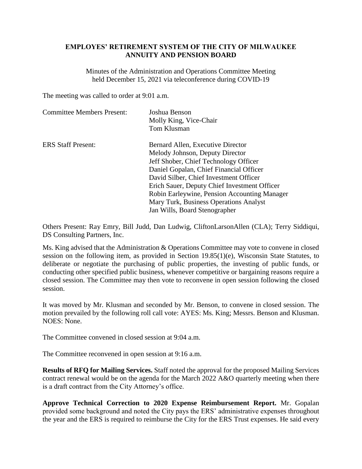## **EMPLOYES' RETIREMENT SYSTEM OF THE CITY OF MILWAUKEE ANNUITY AND PENSION BOARD**

Minutes of the Administration and Operations Committee Meeting held December 15, 2021 via teleconference during COVID-19

The meeting was called to order at 9:01 a.m.

| <b>Committee Members Present:</b> | Joshua Benson<br>Molly King, Vice-Chair      |
|-----------------------------------|----------------------------------------------|
|                                   | Tom Klusman                                  |
| <b>ERS Staff Present:</b>         | Bernard Allen, Executive Director            |
|                                   | Melody Johnson, Deputy Director              |
|                                   | Jeff Shober, Chief Technology Officer        |
|                                   | Daniel Gopalan, Chief Financial Officer      |
|                                   | David Silber, Chief Investment Officer       |
|                                   | Erich Sauer, Deputy Chief Investment Officer |
|                                   | Robin Earleywine, Pension Accounting Manager |
|                                   | Mary Turk, Business Operations Analyst       |
|                                   | Jan Wills, Board Stenographer                |

Others Present: Ray Emry, Bill Judd, Dan Ludwig, CliftonLarsonAllen (CLA); Terry Siddiqui, DS Consulting Partners, Inc.

Ms. King advised that the Administration & Operations Committee may vote to convene in closed session on the following item, as provided in Section 19.85(1)(e), Wisconsin State Statutes, to deliberate or negotiate the purchasing of public properties, the investing of public funds, or conducting other specified public business, whenever competitive or bargaining reasons require a closed session. The Committee may then vote to reconvene in open session following the closed session.

It was moved by Mr. Klusman and seconded by Mr. Benson, to convene in closed session. The motion prevailed by the following roll call vote: AYES: Ms. King; Messrs. Benson and Klusman. NOES: None.

The Committee convened in closed session at 9:04 a.m.

The Committee reconvened in open session at 9:16 a.m.

**Results of RFQ for Mailing Services.** Staff noted the approval for the proposed Mailing Services contract renewal would be on the agenda for the March 2022 A&O quarterly meeting when there is a draft contract from the City Attorney's office.

**Approve Technical Correction to 2020 Expense Reimbursement Report.** Mr. Gopalan provided some background and noted the City pays the ERS' administrative expenses throughout the year and the ERS is required to reimburse the City for the ERS Trust expenses. He said every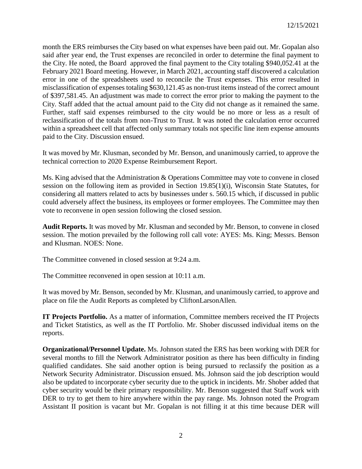month the ERS reimburses the City based on what expenses have been paid out. Mr. Gopalan also said after year end, the Trust expenses are reconciled in order to determine the final payment to the City. He noted, the Board approved the final payment to the City totaling \$940,052.41 at the February 2021 Board meeting. However, in March 2021, accounting staff discovered a calculation error in one of the spreadsheets used to reconcile the Trust expenses. This error resulted in misclassification of expenses totaling \$630,121.45 as non-trust items instead of the correct amount of \$397,581.45. An adjustment was made to correct the error prior to making the payment to the City. Staff added that the actual amount paid to the City did not change as it remained the same. Further, staff said expenses reimbursed to the city would be no more or less as a result of reclassification of the totals from non-Trust to Trust. It was noted the calculation error occurred within a spreadsheet cell that affected only summary totals not specific line item expense amounts paid to the City. Discussion ensued.

It was moved by Mr. Klusman, seconded by Mr. Benson, and unanimously carried, to approve the technical correction to 2020 Expense Reimbursement Report.

Ms. King advised that the Administration & Operations Committee may vote to convene in closed session on the following item as provided in Section 19.85(1)(i), Wisconsin State Statutes, for considering all matters related to acts by businesses under s. 560.15 which, if discussed in public could adversely affect the business, its employees or former employees. The Committee may then vote to reconvene in open session following the closed session.

**Audit Reports.** It was moved by Mr. Klusman and seconded by Mr. Benson, to convene in closed session. The motion prevailed by the following roll call vote: AYES: Ms. King; Messrs. Benson and Klusman. NOES: None.

The Committee convened in closed session at 9:24 a.m.

The Committee reconvened in open session at 10:11 a.m.

It was moved by Mr. Benson, seconded by Mr. Klusman, and unanimously carried, to approve and place on file the Audit Reports as completed by CliftonLarsonAllen.

**IT Projects Portfolio.** As a matter of information, Committee members received the IT Projects and Ticket Statistics, as well as the IT Portfolio. Mr. Shober discussed individual items on the reports.

**Organizational/Personnel Update.** Ms. Johnson stated the ERS has been working with DER for several months to fill the Network Administrator position as there has been difficulty in finding qualified candidates. She said another option is being pursued to reclassify the position as a Network Security Administrator. Discussion ensued. Ms. Johnson said the job description would also be updated to incorporate cyber security due to the uptick in incidents. Mr. Shober added that cyber security would be their primary responsibility. Mr. Benson suggested that Staff work with DER to try to get them to hire anywhere within the pay range. Ms. Johnson noted the Program Assistant II position is vacant but Mr. Gopalan is not filling it at this time because DER will